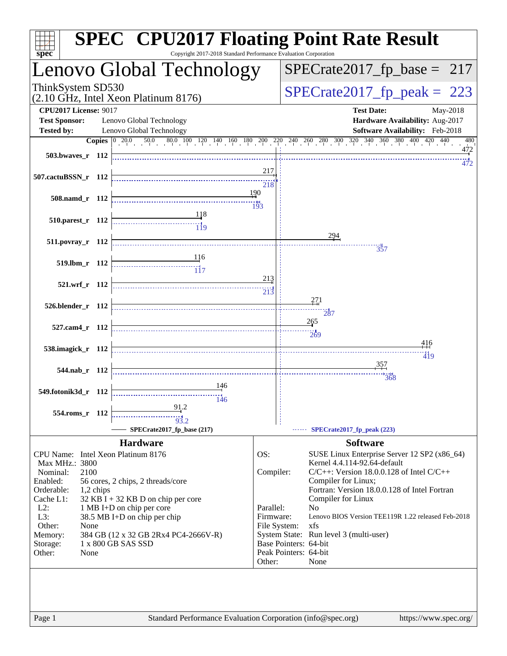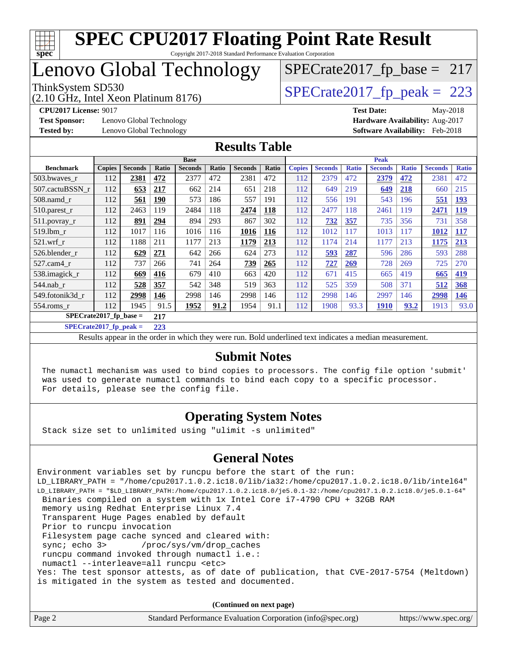

### Lenovo Global Technology

(2.10 GHz, Intel Xeon Platinum 8176)

ThinkSystem SD530<br>(2.10 GHz, Intel Xeon Platinum 8176) [SPECrate2017\\_fp\\_peak =](http://www.spec.org/auto/cpu2017/Docs/result-fields.html#SPECrate2017fppeak) 223

 $SPECTate2017_fp\_base = 217$ 

**[Test Sponsor:](http://www.spec.org/auto/cpu2017/Docs/result-fields.html#TestSponsor)** Lenovo Global Technology **[Hardware Availability:](http://www.spec.org/auto/cpu2017/Docs/result-fields.html#HardwareAvailability)** Aug-2017 **[Tested by:](http://www.spec.org/auto/cpu2017/Docs/result-fields.html#Testedby)** Lenovo Global Technology **[Software Availability:](http://www.spec.org/auto/cpu2017/Docs/result-fields.html#SoftwareAvailability)** Feb-2018

**[CPU2017 License:](http://www.spec.org/auto/cpu2017/Docs/result-fields.html#CPU2017License)** 9017 **[Test Date:](http://www.spec.org/auto/cpu2017/Docs/result-fields.html#TestDate)** May-2018

#### **[Results Table](http://www.spec.org/auto/cpu2017/Docs/result-fields.html#ResultsTable)**

|                          | <b>Base</b>   |                |            |                |       |                | <b>Peak</b> |               |                |              |                |              |                |              |
|--------------------------|---------------|----------------|------------|----------------|-------|----------------|-------------|---------------|----------------|--------------|----------------|--------------|----------------|--------------|
| <b>Benchmark</b>         | <b>Copies</b> | <b>Seconds</b> | Ratio      | <b>Seconds</b> | Ratio | <b>Seconds</b> | Ratio       | <b>Copies</b> | <b>Seconds</b> | <b>Ratio</b> | <b>Seconds</b> | <b>Ratio</b> | <b>Seconds</b> | <b>Ratio</b> |
| 503.bwayes_r             | 112           | 2381           | 472        | 2377           | 472   | 2381           | 472         | 112           | 2379           | 472          | 2379           | 472          | 2381           | 472          |
| 507.cactuBSSN r          | 112           | 653            | <b>217</b> | 662            | 214   | 651            | 218         | 112           | 649            | 219          | 649            | 218          | 660            | 215          |
| $508$ .namd $r$          | 112           | 561            | <b>190</b> | 573            | 186   | 557            | 191         | 112           | 556            | 191          | 543            | 196          | 551            | <b>193</b>   |
| $510.parest_r$           | 112           | 2463           | 119        | 2484           | 118   | 2474           | 118         | 112           | 2477           | 118          | 2461           | 119          | 2471           | <u>119</u>   |
| 511.povray_r             | 112           | 891            | 294        | 894            | 293   | 867            | 302         | 112           | <b>732</b>     | 357          | 735            | 356          | 731            | 358          |
| $519$ .lbm $r$           | 112           | 1017           | 116        | 1016           | 116   | 1016           | 116         | 112           | 1012           | 117          | 1013           | 117          | 1012           | <b>117</b>   |
| $521$ .wrf r             | 112           | 1188           | 211        | 1177           | 213   | 1179           | 213         | 112           | 1174           | 214          | 1177           | 213          | 1175           | 213          |
| 526.blender r            | 112           | 629            | 271        | 642            | 266   | 624            | 273         | 112           | <u>593</u>     | 287          | 596            | 286          | 593            | 288          |
| 527.cam4 r               | 112           | 737            | 266        | 741            | 264   | 739            | 265         | 112           | 727            | 269          | 728            | 269          | 725            | 270          |
| 538.imagick_r            | 112           | 669            | 416        | 679            | 410   | 663            | 420         | 112           | 671            | 415          | 665            | 419          | 665            | 419          |
| $544$ .nab r             | 112           | 528            | 357        | 542            | 348   | 519            | 363         | 112           | 525            | 359          | 508            | 371          | 512            | 368          |
| 549.fotonik3d r          | 112           | 2998           | 146        | 2998           | 146   | 2998           | 146         | 112           | 2998           | 146          | 2997           | 146          | 2998           | <b>146</b>   |
| 554.roms r               | 112           | 1945           | 91.5       | 1952           | 91.2  | 1954           | 91.1        | 112           | 1908           | 93.3         | <b>1910</b>    | 93.2         | 1913           | 93.0         |
| $SPECrate2017$ fp base = |               |                | 217        |                |       |                |             |               |                |              |                |              |                |              |

**[SPECrate2017\\_fp\\_peak =](http://www.spec.org/auto/cpu2017/Docs/result-fields.html#SPECrate2017fppeak) 223**

Results appear in the [order in which they were run.](http://www.spec.org/auto/cpu2017/Docs/result-fields.html#RunOrder) Bold underlined text [indicates a median measurement.](http://www.spec.org/auto/cpu2017/Docs/result-fields.html#Median)

#### **[Submit Notes](http://www.spec.org/auto/cpu2017/Docs/result-fields.html#SubmitNotes)**

 The numactl mechanism was used to bind copies to processors. The config file option 'submit' was used to generate numactl commands to bind each copy to a specific processor. For details, please see the config file.

#### **[Operating System Notes](http://www.spec.org/auto/cpu2017/Docs/result-fields.html#OperatingSystemNotes)**

Stack size set to unlimited using "ulimit -s unlimited"

#### **[General Notes](http://www.spec.org/auto/cpu2017/Docs/result-fields.html#GeneralNotes)**

Environment variables set by runcpu before the start of the run: LD\_LIBRARY\_PATH = "/home/cpu2017.1.0.2.ic18.0/lib/ia32:/home/cpu2017.1.0.2.ic18.0/lib/intel64" LD\_LIBRARY\_PATH = "\$LD\_LIBRARY\_PATH:/home/cpu2017.1.0.2.ic18.0/je5.0.1-32:/home/cpu2017.1.0.2.ic18.0/je5.0.1-64" Binaries compiled on a system with 1x Intel Core i7-4790 CPU + 32GB RAM memory using Redhat Enterprise Linux 7.4 Transparent Huge Pages enabled by default Prior to runcpu invocation Filesystem page cache synced and cleared with: sync; echo 3> /proc/sys/vm/drop\_caches runcpu command invoked through numactl i.e.: numactl --interleave=all runcpu <etc> Yes: The test sponsor attests, as of date of publication, that CVE-2017-5754 (Meltdown) is mitigated in the system as tested and documented.

**(Continued on next page)**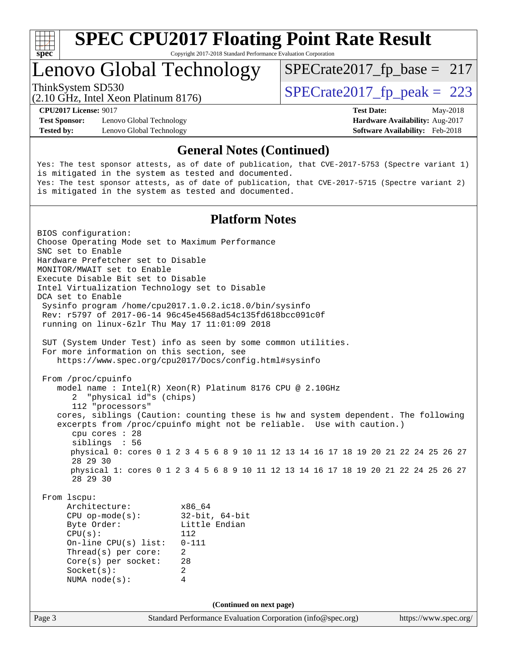

Copyright 2017-2018 Standard Performance Evaluation Corporation

### Lenovo Global Technology

(2.10 GHz, Intel Xeon Platinum 8176)

ThinkSystem SD530<br>  $(2.10 \text{ GHz})$  Intel Year Platinum 8176)<br>  $\text{SPECrate2017\_fp\_peak} = 223$ 

 $SPECTate2017_fp\_base = 217$ 

**[Test Sponsor:](http://www.spec.org/auto/cpu2017/Docs/result-fields.html#TestSponsor)** Lenovo Global Technology **[Hardware Availability:](http://www.spec.org/auto/cpu2017/Docs/result-fields.html#HardwareAvailability)** Aug-2017 **[Tested by:](http://www.spec.org/auto/cpu2017/Docs/result-fields.html#Testedby)** Lenovo Global Technology **[Software Availability:](http://www.spec.org/auto/cpu2017/Docs/result-fields.html#SoftwareAvailability)** Feb-2018

**[CPU2017 License:](http://www.spec.org/auto/cpu2017/Docs/result-fields.html#CPU2017License)** 9017 **[Test Date:](http://www.spec.org/auto/cpu2017/Docs/result-fields.html#TestDate)** May-2018

#### **[General Notes \(Continued\)](http://www.spec.org/auto/cpu2017/Docs/result-fields.html#GeneralNotes)**

Yes: The test sponsor attests, as of date of publication, that CVE-2017-5753 (Spectre variant 1) is mitigated in the system as tested and documented. Yes: The test sponsor attests, as of date of publication, that CVE-2017-5715 (Spectre variant 2) is mitigated in the system as tested and documented.

#### **[Platform Notes](http://www.spec.org/auto/cpu2017/Docs/result-fields.html#PlatformNotes)**

Page 3 Standard Performance Evaluation Corporation [\(info@spec.org\)](mailto:info@spec.org) <https://www.spec.org/> BIOS configuration: Choose Operating Mode set to Maximum Performance SNC set to Enable Hardware Prefetcher set to Disable MONITOR/MWAIT set to Enable Execute Disable Bit set to Disable Intel Virtualization Technology set to Disable DCA set to Enable Sysinfo program /home/cpu2017.1.0.2.ic18.0/bin/sysinfo Rev: r5797 of 2017-06-14 96c45e4568ad54c135fd618bcc091c0f running on linux-6zlr Thu May 17 11:01:09 2018 SUT (System Under Test) info as seen by some common utilities. For more information on this section, see <https://www.spec.org/cpu2017/Docs/config.html#sysinfo> From /proc/cpuinfo model name : Intel(R) Xeon(R) Platinum 8176 CPU @ 2.10GHz 2 "physical id"s (chips) 112 "processors" cores, siblings (Caution: counting these is hw and system dependent. The following excerpts from /proc/cpuinfo might not be reliable. Use with caution.) cpu cores : 28 siblings : 56 physical 0: cores 0 1 2 3 4 5 6 8 9 10 11 12 13 14 16 17 18 19 20 21 22 24 25 26 27 28 29 30 physical 1: cores 0 1 2 3 4 5 6 8 9 10 11 12 13 14 16 17 18 19 20 21 22 24 25 26 27 28 29 30 From lscpu: Architecture: x86\_64<br>
CPU op-mode(s): 32-bit, 64-bit CPU op-mode $(s)$ : Byte Order: Little Endian CPU(s): 112 On-line CPU(s) list: 0-111 Thread(s) per core: 2 Core(s) per socket: 28 Socket(s): 2 NUMA node(s): 4 **(Continued on next page)**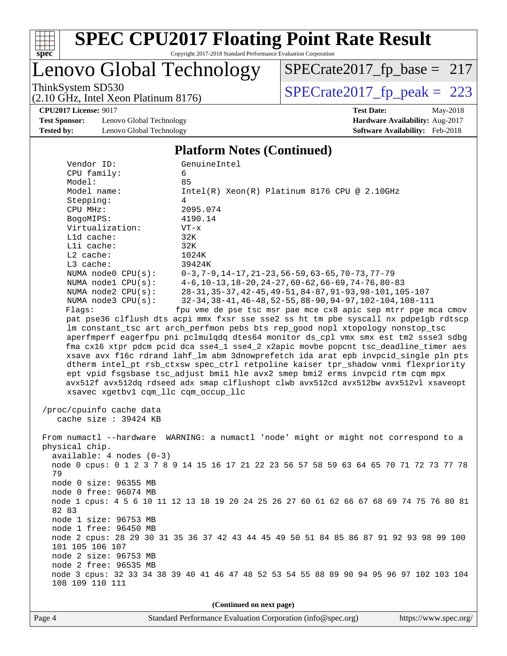

Copyright 2017-2018 Standard Performance Evaluation Corporation

### Lenovo Global Technology

(2.10 GHz, Intel Xeon Platinum 8176)

ThinkSystem SD530<br>  $(2.10 \text{ GHz})$  Intel Xeon Platinum 8176) [SPECrate2017\\_fp\\_peak =](http://www.spec.org/auto/cpu2017/Docs/result-fields.html#SPECrate2017fppeak) 223 [SPECrate2017\\_fp\\_base =](http://www.spec.org/auto/cpu2017/Docs/result-fields.html#SPECrate2017fpbase) 217

**[Test Sponsor:](http://www.spec.org/auto/cpu2017/Docs/result-fields.html#TestSponsor)** Lenovo Global Technology **[Hardware Availability:](http://www.spec.org/auto/cpu2017/Docs/result-fields.html#HardwareAvailability)** Aug-2017 **[Tested by:](http://www.spec.org/auto/cpu2017/Docs/result-fields.html#Testedby)** Lenovo Global Technology **[Software Availability:](http://www.spec.org/auto/cpu2017/Docs/result-fields.html#SoftwareAvailability)** Feb-2018

**[CPU2017 License:](http://www.spec.org/auto/cpu2017/Docs/result-fields.html#CPU2017License)** 9017 **[Test Date:](http://www.spec.org/auto/cpu2017/Docs/result-fields.html#TestDate)** May-2018

#### **[Platform Notes \(Continued\)](http://www.spec.org/auto/cpu2017/Docs/result-fields.html#PlatformNotes)**

| CPU family:<br>Model:                           | 6<br>85                                                                                                                                                                    |  |  |  |  |
|-------------------------------------------------|----------------------------------------------------------------------------------------------------------------------------------------------------------------------------|--|--|--|--|
| Model name:<br>Stepping:                        | $Intel(R) Xeon(R) Platinum 8176 CPU @ 2.10GHz$<br>4                                                                                                                        |  |  |  |  |
| CPU MHz:                                        | 2095.074                                                                                                                                                                   |  |  |  |  |
| BogoMIPS:                                       | 4190.14                                                                                                                                                                    |  |  |  |  |
| Virtualization:                                 | $VT - x$                                                                                                                                                                   |  |  |  |  |
| L1d cache:<br>Lli cache:                        | 32K<br>32K                                                                                                                                                                 |  |  |  |  |
| $L2$ cache:                                     | 1024K                                                                                                                                                                      |  |  |  |  |
| L3 cache:                                       | 39424K                                                                                                                                                                     |  |  |  |  |
| NUMA $node0$ $CPU(s)$ :                         | $0-3, 7-9, 14-17, 21-23, 56-59, 63-65, 70-73, 77-79$                                                                                                                       |  |  |  |  |
| NUMA nodel $CPU(s):$<br>NUMA $node2$ $CPU(s)$ : | $4-6$ , 10-13, 18-20, 24-27, 60-62, 66-69, 74-76, 80-83<br>28-31, 35-37, 42-45, 49-51, 84-87, 91-93, 98-101, 105-107                                                       |  |  |  |  |
| NUMA $node3$ $CPU(s):$                          | 32-34, 38-41, 46-48, 52-55, 88-90, 94-97, 102-104, 108-111                                                                                                                 |  |  |  |  |
| Flags:                                          | fpu vme de pse tsc msr pae mce cx8 apic sep mtrr pge mca cmov                                                                                                              |  |  |  |  |
|                                                 | pat pse36 clflush dts acpi mmx fxsr sse sse2 ss ht tm pbe syscall nx pdpelgb rdtscp                                                                                        |  |  |  |  |
|                                                 | lm constant_tsc art arch_perfmon pebs bts rep_good nopl xtopology nonstop_tsc                                                                                              |  |  |  |  |
|                                                 | aperfmperf eagerfpu pni pclmulqdq dtes64 monitor ds_cpl vmx smx est tm2 ssse3 sdbg<br>fma cx16 xtpr pdcm pcid dca sse4_1 sse4_2 x2apic movbe popcnt tsc_deadline_timer aes |  |  |  |  |
|                                                 | xsave avx f16c rdrand lahf_lm abm 3dnowprefetch ida arat epb invpcid_single pln pts                                                                                        |  |  |  |  |
|                                                 | dtherm intel_pt rsb_ctxsw spec_ctrl retpoline kaiser tpr_shadow vnmi flexpriority                                                                                          |  |  |  |  |
|                                                 | ept vpid fsgsbase tsc adjust bmil hle avx2 smep bmi2 erms invpcid rtm cgm mpx                                                                                              |  |  |  |  |
| xsavec xgetbvl cqm_llc cqm_occup_llc            | avx512f avx512dq rdseed adx smap clflushopt clwb avx512cd avx512bw avx512vl xsaveopt                                                                                       |  |  |  |  |
|                                                 |                                                                                                                                                                            |  |  |  |  |
| /proc/cpuinfo cache data                        |                                                                                                                                                                            |  |  |  |  |
| cache size : 39424 KB                           |                                                                                                                                                                            |  |  |  |  |
|                                                 | From numactl --hardware WARNING: a numactl 'node' might or might not correspond to a                                                                                       |  |  |  |  |
| physical chip.                                  |                                                                                                                                                                            |  |  |  |  |
| $available: 4 nodes (0-3)$                      | node 0 cpus: 0 1 2 3 7 8 9 14 15 16 17 21 22 23 56 57 58 59 63 64 65 70 71 72 73 77 78                                                                                     |  |  |  |  |
| 79                                              |                                                                                                                                                                            |  |  |  |  |
| node 0 size: 96355 MB                           |                                                                                                                                                                            |  |  |  |  |
| node 0 free: 96074 MB                           |                                                                                                                                                                            |  |  |  |  |
| 82 83                                           | node 1 cpus: 4 5 6 10 11 12 13 18 19 20 24 25 26 27 60 61 62 66 67 68 69 74 75 76 80 81                                                                                    |  |  |  |  |
| node 1 size: 96753 MB                           |                                                                                                                                                                            |  |  |  |  |
| node 1 free: 96450 MB                           |                                                                                                                                                                            |  |  |  |  |
| 101 105 106 107                                 | node 2 cpus: 28 29 30 31 35 36 37 42 43 44 45 49 50 51 84 85 86 87 91 92 93 98 99 100                                                                                      |  |  |  |  |
| node 2 size: 96753 MB                           |                                                                                                                                                                            |  |  |  |  |
| node 2 free: 96535 MB                           |                                                                                                                                                                            |  |  |  |  |
|                                                 | node 3 cpus: 32 33 34 38 39 40 41 46 47 48 52 53 54 55 88 89 90 94 95 96 97 102 103 104                                                                                    |  |  |  |  |
| 108 109 110 111                                 |                                                                                                                                                                            |  |  |  |  |
| (Continued on next page)                        |                                                                                                                                                                            |  |  |  |  |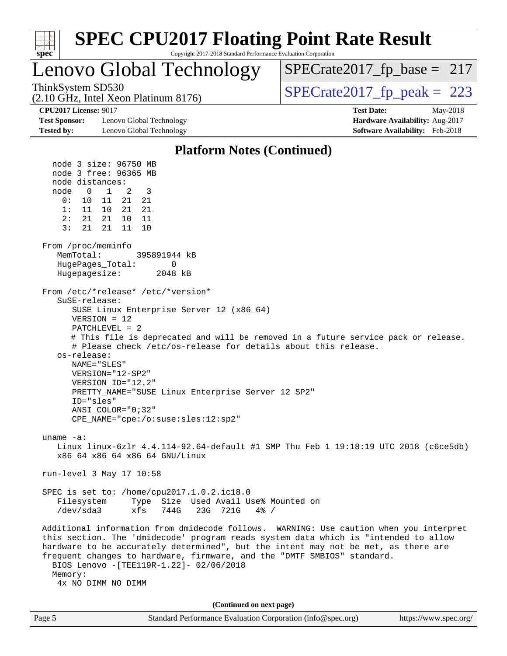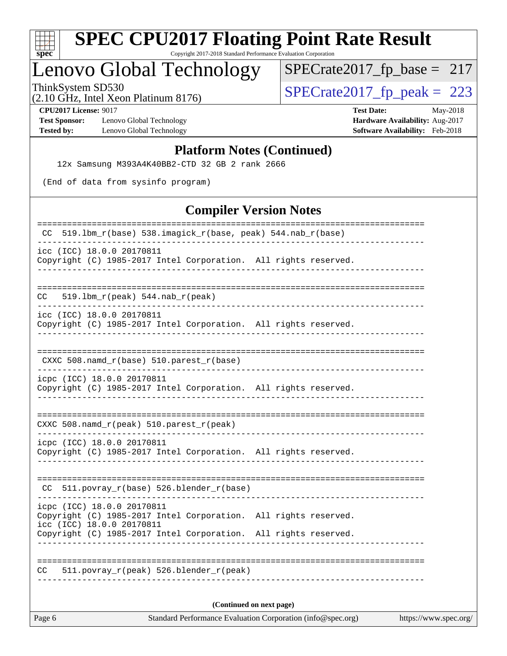

Copyright 2017-2018 Standard Performance Evaluation Corporation

# Lenovo Global Technology

ThinkSystem SD530<br>  $(2.10 \text{ GHz})$  Intel Xeon Platinum 8176) [SPECrate2017\\_fp\\_peak =](http://www.spec.org/auto/cpu2017/Docs/result-fields.html#SPECrate2017fppeak) 223 [SPECrate2017\\_fp\\_base =](http://www.spec.org/auto/cpu2017/Docs/result-fields.html#SPECrate2017fpbase) 217

(2.10 GHz, Intel Xeon Platinum 8176)

**[Test Sponsor:](http://www.spec.org/auto/cpu2017/Docs/result-fields.html#TestSponsor)** Lenovo Global Technology **[Hardware Availability:](http://www.spec.org/auto/cpu2017/Docs/result-fields.html#HardwareAvailability)** Aug-2017 **[Tested by:](http://www.spec.org/auto/cpu2017/Docs/result-fields.html#Testedby)** Lenovo Global Technology **[Software Availability:](http://www.spec.org/auto/cpu2017/Docs/result-fields.html#SoftwareAvailability)** Feb-2018

**[CPU2017 License:](http://www.spec.org/auto/cpu2017/Docs/result-fields.html#CPU2017License)** 9017 **[Test Date:](http://www.spec.org/auto/cpu2017/Docs/result-fields.html#TestDate)** May-2018

#### **[Platform Notes \(Continued\)](http://www.spec.org/auto/cpu2017/Docs/result-fields.html#PlatformNotes)**

12x Samsung M393A4K40BB2-CTD 32 GB 2 rank 2666

(End of data from sysinfo program)

#### **[Compiler Version Notes](http://www.spec.org/auto/cpu2017/Docs/result-fields.html#CompilerVersionNotes)**

| Compuer version rotes                                                                                                      |  |  |  |  |  |  |
|----------------------------------------------------------------------------------------------------------------------------|--|--|--|--|--|--|
| 519.1bm_r(base) 538.imagick_r(base, peak) 544.nab_r(base)<br>CC                                                            |  |  |  |  |  |  |
| icc (ICC) 18.0.0 20170811<br>Copyright (C) 1985-2017 Intel Corporation. All rights reserved.                               |  |  |  |  |  |  |
| 519.1bm_r(peak) 544.nab_r(peak)<br>CC                                                                                      |  |  |  |  |  |  |
| icc (ICC) 18.0.0 20170811<br>Copyright (C) 1985-2017 Intel Corporation. All rights reserved.                               |  |  |  |  |  |  |
| $CXXC 508.namd_r(base) 510.parest_r(base)$                                                                                 |  |  |  |  |  |  |
| icpc (ICC) 18.0.0 20170811<br>Copyright (C) 1985-2017 Intel Corporation. All rights reserved.                              |  |  |  |  |  |  |
| $CXXC$ 508.namd $r$ (peak) 510.parest $r$ (peak)                                                                           |  |  |  |  |  |  |
| icpc (ICC) 18.0.0 20170811<br>Copyright (C) 1985-2017 Intel Corporation. All rights reserved.                              |  |  |  |  |  |  |
| 511.povray_r(base) 526.blender_r(base)<br>CC.                                                                              |  |  |  |  |  |  |
| icpc (ICC) 18.0.0 20170811<br>Copyright (C) 1985-2017 Intel Corporation. All rights reserved.<br>icc (ICC) 18.0.0 20170811 |  |  |  |  |  |  |
| Copyright (C) 1985-2017 Intel Corporation. All rights reserved.                                                            |  |  |  |  |  |  |
| 511.povray_r(peak) 526.blender_r(peak)<br>CC                                                                               |  |  |  |  |  |  |
| (Continued on next page)                                                                                                   |  |  |  |  |  |  |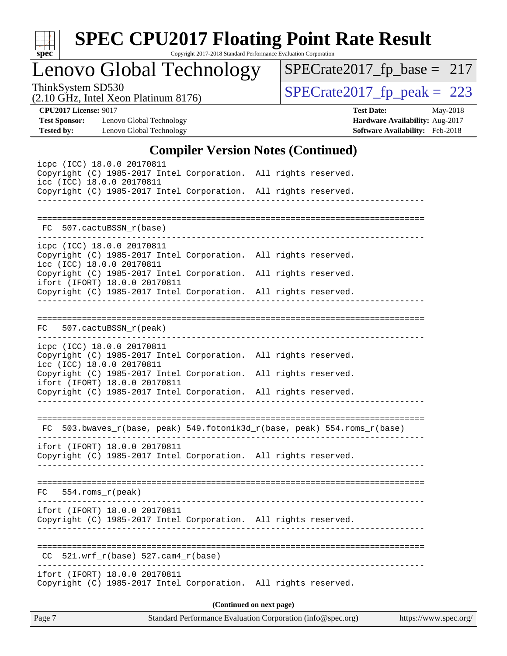

Copyright 2017-2018 Standard Performance Evaluation Corporation

Lenovo Global Technology

ThinkSystem SD530<br>  $(2.10 \text{ GHz})$  Intel Xeon Platinum 8176) [SPECrate2017\\_fp\\_peak =](http://www.spec.org/auto/cpu2017/Docs/result-fields.html#SPECrate2017fppeak) 223

[SPECrate2017\\_fp\\_base =](http://www.spec.org/auto/cpu2017/Docs/result-fields.html#SPECrate2017fpbase) 217

(2.10 GHz, Intel Xeon Platinum 8176)

**[CPU2017 License:](http://www.spec.org/auto/cpu2017/Docs/result-fields.html#CPU2017License)** 9017 **[Test Date:](http://www.spec.org/auto/cpu2017/Docs/result-fields.html#TestDate)** May-2018 **[Test Sponsor:](http://www.spec.org/auto/cpu2017/Docs/result-fields.html#TestSponsor)** Lenovo Global Technology **[Hardware Availability:](http://www.spec.org/auto/cpu2017/Docs/result-fields.html#HardwareAvailability)** Aug-2017 **[Tested by:](http://www.spec.org/auto/cpu2017/Docs/result-fields.html#Testedby)** Lenovo Global Technology **[Software Availability:](http://www.spec.org/auto/cpu2017/Docs/result-fields.html#SoftwareAvailability)** Feb-2018

#### **[Compiler Version Notes \(Continued\)](http://www.spec.org/auto/cpu2017/Docs/result-fields.html#CompilerVersionNotes)**

| Standard Performance Evaluation Corporation (info@spec.org)<br>Page 7<br>https://www.spec.org/ |                                                        |  |                                                                                                                                    |  |  |  |
|------------------------------------------------------------------------------------------------|--------------------------------------------------------|--|------------------------------------------------------------------------------------------------------------------------------------|--|--|--|
|                                                                                                | ifort (IFORT) 18.0.0 20170811                          |  | Copyright (C) 1985-2017 Intel Corporation. All rights reserved.<br>(Continued on next page)                                        |  |  |  |
| CC.                                                                                            | $521.wrf_r(base) 527.cam4_r(base)$                     |  |                                                                                                                                    |  |  |  |
|                                                                                                | ifort (IFORT) 18.0.0 20170811                          |  | Copyright (C) 1985-2017 Intel Corporation. All rights reserved.                                                                    |  |  |  |
| $FC$ 554.roms $_r$ (peak)                                                                      |                                                        |  |                                                                                                                                    |  |  |  |
|                                                                                                | ifort (IFORT) 18.0.0 20170811                          |  | Copyright (C) 1985-2017 Intel Corporation. All rights reserved.                                                                    |  |  |  |
|                                                                                                |                                                        |  | FC 503.bwaves_r(base, peak) 549.fotonik3d_r(base, peak) 554.roms_r(base)                                                           |  |  |  |
|                                                                                                | ifort (IFORT) 18.0.0 20170811                          |  | Copyright (C) 1985-2017 Intel Corporation. All rights reserved.                                                                    |  |  |  |
| icc (ICC) 18.0.0 20170811                                                                      |                                                        |  | Copyright (C) 1985-2017 Intel Corporation. All rights reserved.<br>Copyright (C) 1985-2017 Intel Corporation. All rights reserved. |  |  |  |
|                                                                                                | FC 507.cactuBSSN_r(peak)<br>icpc (ICC) 18.0.0 20170811 |  |                                                                                                                                    |  |  |  |
|                                                                                                |                                                        |  | Copyright (C) 1985-2017 Intel Corporation. All rights reserved.                                                                    |  |  |  |
| icc (ICC) 18.0.0 20170811                                                                      | ifort (IFORT) 18.0.0 20170811                          |  | Copyright (C) 1985-2017 Intel Corporation. All rights reserved.<br>Copyright (C) 1985-2017 Intel Corporation. All rights reserved. |  |  |  |
|                                                                                                | icpc (ICC) 18.0.0 20170811                             |  |                                                                                                                                    |  |  |  |
|                                                                                                | FC 507.cactuBSSN_r(base)                               |  |                                                                                                                                    |  |  |  |
| icc (ICC) 18.0.0 20170811                                                                      |                                                        |  | Copyright (C) 1985-2017 Intel Corporation. All rights reserved.                                                                    |  |  |  |
| icpc (ICC) 18.0.0 20170811                                                                     |                                                        |  | Copyright (C) 1985-2017 Intel Corporation. All rights reserved.                                                                    |  |  |  |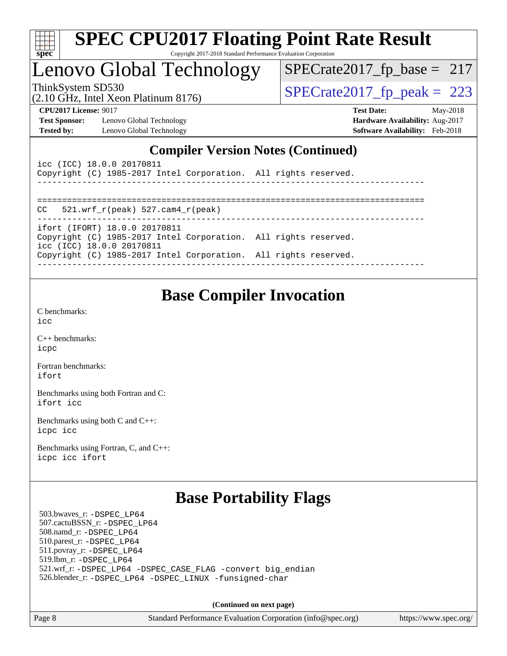| s,<br>0<br>æ<br>Ľ<br>r |  |  |  |  |
|------------------------|--|--|--|--|

### Lenovo Global Technology

ThinkSystem SD530<br>(2.10 GHz, Intel Xeon Platinum 8176) [SPECrate2017\\_fp\\_peak =](http://www.spec.org/auto/cpu2017/Docs/result-fields.html#SPECrate2017fppeak) 223

 $SPECTate2017_fp\_base = 217$ 

(2.10 GHz, Intel Xeon Platinum 8176)

**[CPU2017 License:](http://www.spec.org/auto/cpu2017/Docs/result-fields.html#CPU2017License)** 9017 **[Test Date:](http://www.spec.org/auto/cpu2017/Docs/result-fields.html#TestDate)** May-2018 **[Test Sponsor:](http://www.spec.org/auto/cpu2017/Docs/result-fields.html#TestSponsor)** Lenovo Global Technology **[Hardware Availability:](http://www.spec.org/auto/cpu2017/Docs/result-fields.html#HardwareAvailability)** Aug-2017 [Tested by:](http://www.spec.org/auto/cpu2017/Docs/result-fields.html#Testedby) Lenovo Global Technology **[Software Availability:](http://www.spec.org/auto/cpu2017/Docs/result-fields.html#SoftwareAvailability)** Feb-2018

#### **[Compiler Version Notes \(Continued\)](http://www.spec.org/auto/cpu2017/Docs/result-fields.html#CompilerVersionNotes)**

| icc (ICC) 18.0.0 20170811<br>Copyright (C) 1985-2017 Intel Corporation. All rights reserved.                                                                    |  |
|-----------------------------------------------------------------------------------------------------------------------------------------------------------------|--|
| $CC = 521$ .wrf $r(\text{peak}) = 527$ .cam4 $r(\text{peak})$                                                                                                   |  |
| ifort (IFORT) 18.0.0 20170811                                                                                                                                   |  |
| Copyright (C) 1985-2017 Intel Corporation. All rights reserved.<br>icc (ICC) 18.0.0 20170811<br>Copyright (C) 1985-2017 Intel Corporation. All rights reserved. |  |
|                                                                                                                                                                 |  |

### **[Base Compiler Invocation](http://www.spec.org/auto/cpu2017/Docs/result-fields.html#BaseCompilerInvocation)**

[C benchmarks](http://www.spec.org/auto/cpu2017/Docs/result-fields.html#Cbenchmarks): [icc](http://www.spec.org/cpu2017/results/res2018q2/cpu2017-20180529-06565.flags.html#user_CCbase_intel_icc_18.0_66fc1ee009f7361af1fbd72ca7dcefbb700085f36577c54f309893dd4ec40d12360134090235512931783d35fd58c0460139e722d5067c5574d8eaf2b3e37e92)

[C++ benchmarks:](http://www.spec.org/auto/cpu2017/Docs/result-fields.html#CXXbenchmarks) [icpc](http://www.spec.org/cpu2017/results/res2018q2/cpu2017-20180529-06565.flags.html#user_CXXbase_intel_icpc_18.0_c510b6838c7f56d33e37e94d029a35b4a7bccf4766a728ee175e80a419847e808290a9b78be685c44ab727ea267ec2f070ec5dc83b407c0218cded6866a35d07)

[Fortran benchmarks](http://www.spec.org/auto/cpu2017/Docs/result-fields.html#Fortranbenchmarks): [ifort](http://www.spec.org/cpu2017/results/res2018q2/cpu2017-20180529-06565.flags.html#user_FCbase_intel_ifort_18.0_8111460550e3ca792625aed983ce982f94888b8b503583aa7ba2b8303487b4d8a21a13e7191a45c5fd58ff318f48f9492884d4413fa793fd88dd292cad7027ca)

[Benchmarks using both Fortran and C](http://www.spec.org/auto/cpu2017/Docs/result-fields.html#BenchmarksusingbothFortranandC): [ifort](http://www.spec.org/cpu2017/results/res2018q2/cpu2017-20180529-06565.flags.html#user_CC_FCbase_intel_ifort_18.0_8111460550e3ca792625aed983ce982f94888b8b503583aa7ba2b8303487b4d8a21a13e7191a45c5fd58ff318f48f9492884d4413fa793fd88dd292cad7027ca) [icc](http://www.spec.org/cpu2017/results/res2018q2/cpu2017-20180529-06565.flags.html#user_CC_FCbase_intel_icc_18.0_66fc1ee009f7361af1fbd72ca7dcefbb700085f36577c54f309893dd4ec40d12360134090235512931783d35fd58c0460139e722d5067c5574d8eaf2b3e37e92)

[Benchmarks using both C and C++](http://www.spec.org/auto/cpu2017/Docs/result-fields.html#BenchmarksusingbothCandCXX): [icpc](http://www.spec.org/cpu2017/results/res2018q2/cpu2017-20180529-06565.flags.html#user_CC_CXXbase_intel_icpc_18.0_c510b6838c7f56d33e37e94d029a35b4a7bccf4766a728ee175e80a419847e808290a9b78be685c44ab727ea267ec2f070ec5dc83b407c0218cded6866a35d07) [icc](http://www.spec.org/cpu2017/results/res2018q2/cpu2017-20180529-06565.flags.html#user_CC_CXXbase_intel_icc_18.0_66fc1ee009f7361af1fbd72ca7dcefbb700085f36577c54f309893dd4ec40d12360134090235512931783d35fd58c0460139e722d5067c5574d8eaf2b3e37e92)

[Benchmarks using Fortran, C, and C++:](http://www.spec.org/auto/cpu2017/Docs/result-fields.html#BenchmarksusingFortranCandCXX) [icpc](http://www.spec.org/cpu2017/results/res2018q2/cpu2017-20180529-06565.flags.html#user_CC_CXX_FCbase_intel_icpc_18.0_c510b6838c7f56d33e37e94d029a35b4a7bccf4766a728ee175e80a419847e808290a9b78be685c44ab727ea267ec2f070ec5dc83b407c0218cded6866a35d07) [icc](http://www.spec.org/cpu2017/results/res2018q2/cpu2017-20180529-06565.flags.html#user_CC_CXX_FCbase_intel_icc_18.0_66fc1ee009f7361af1fbd72ca7dcefbb700085f36577c54f309893dd4ec40d12360134090235512931783d35fd58c0460139e722d5067c5574d8eaf2b3e37e92) [ifort](http://www.spec.org/cpu2017/results/res2018q2/cpu2017-20180529-06565.flags.html#user_CC_CXX_FCbase_intel_ifort_18.0_8111460550e3ca792625aed983ce982f94888b8b503583aa7ba2b8303487b4d8a21a13e7191a45c5fd58ff318f48f9492884d4413fa793fd88dd292cad7027ca)

### **[Base Portability Flags](http://www.spec.org/auto/cpu2017/Docs/result-fields.html#BasePortabilityFlags)**

 503.bwaves\_r: [-DSPEC\\_LP64](http://www.spec.org/cpu2017/results/res2018q2/cpu2017-20180529-06565.flags.html#suite_basePORTABILITY503_bwaves_r_DSPEC_LP64) 507.cactuBSSN\_r: [-DSPEC\\_LP64](http://www.spec.org/cpu2017/results/res2018q2/cpu2017-20180529-06565.flags.html#suite_basePORTABILITY507_cactuBSSN_r_DSPEC_LP64) 508.namd\_r: [-DSPEC\\_LP64](http://www.spec.org/cpu2017/results/res2018q2/cpu2017-20180529-06565.flags.html#suite_basePORTABILITY508_namd_r_DSPEC_LP64) 510.parest\_r: [-DSPEC\\_LP64](http://www.spec.org/cpu2017/results/res2018q2/cpu2017-20180529-06565.flags.html#suite_basePORTABILITY510_parest_r_DSPEC_LP64) 511.povray\_r: [-DSPEC\\_LP64](http://www.spec.org/cpu2017/results/res2018q2/cpu2017-20180529-06565.flags.html#suite_basePORTABILITY511_povray_r_DSPEC_LP64) 519.lbm\_r: [-DSPEC\\_LP64](http://www.spec.org/cpu2017/results/res2018q2/cpu2017-20180529-06565.flags.html#suite_basePORTABILITY519_lbm_r_DSPEC_LP64) 521.wrf\_r: [-DSPEC\\_LP64](http://www.spec.org/cpu2017/results/res2018q2/cpu2017-20180529-06565.flags.html#suite_basePORTABILITY521_wrf_r_DSPEC_LP64) [-DSPEC\\_CASE\\_FLAG](http://www.spec.org/cpu2017/results/res2018q2/cpu2017-20180529-06565.flags.html#b521.wrf_r_baseCPORTABILITY_DSPEC_CASE_FLAG) [-convert big\\_endian](http://www.spec.org/cpu2017/results/res2018q2/cpu2017-20180529-06565.flags.html#user_baseFPORTABILITY521_wrf_r_convert_big_endian_c3194028bc08c63ac5d04de18c48ce6d347e4e562e8892b8bdbdc0214820426deb8554edfa529a3fb25a586e65a3d812c835984020483e7e73212c4d31a38223) 526.blender\_r: [-DSPEC\\_LP64](http://www.spec.org/cpu2017/results/res2018q2/cpu2017-20180529-06565.flags.html#suite_basePORTABILITY526_blender_r_DSPEC_LP64) [-DSPEC\\_LINUX](http://www.spec.org/cpu2017/results/res2018q2/cpu2017-20180529-06565.flags.html#b526.blender_r_baseCPORTABILITY_DSPEC_LINUX) [-funsigned-char](http://www.spec.org/cpu2017/results/res2018q2/cpu2017-20180529-06565.flags.html#user_baseCPORTABILITY526_blender_r_force_uchar_40c60f00ab013830e2dd6774aeded3ff59883ba5a1fc5fc14077f794d777847726e2a5858cbc7672e36e1b067e7e5c1d9a74f7176df07886a243d7cc18edfe67)

**(Continued on next page)**

Page 8 Standard Performance Evaluation Corporation [\(info@spec.org\)](mailto:info@spec.org) <https://www.spec.org/>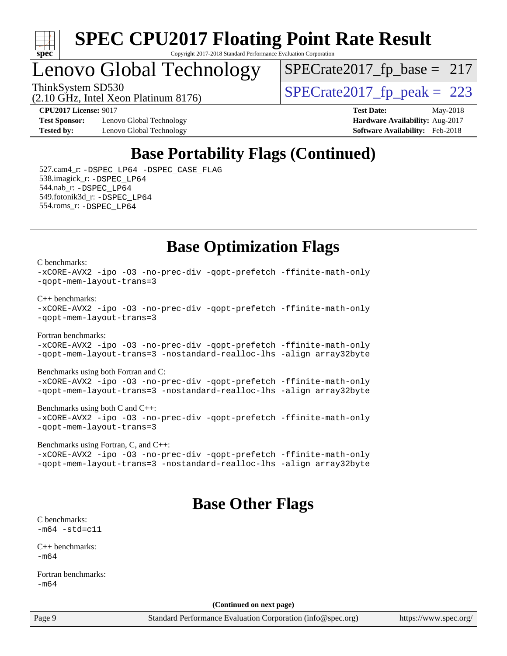

### Lenovo Global Technology

 $SPECTate2017_fp\_base = 217$ 

(2.10 GHz, Intel Xeon Platinum 8176)

ThinkSystem SD530<br>  $\frac{10.647 \text{ J} \cdot \text{m}^2}{10.647 \text{ J} \cdot \text{m}^2}$  [SPECrate2017\\_fp\\_peak =](http://www.spec.org/auto/cpu2017/Docs/result-fields.html#SPECrate2017fppeak) 223

**[Test Sponsor:](http://www.spec.org/auto/cpu2017/Docs/result-fields.html#TestSponsor)** Lenovo Global Technology **[Hardware Availability:](http://www.spec.org/auto/cpu2017/Docs/result-fields.html#HardwareAvailability)** Aug-2017 **[Tested by:](http://www.spec.org/auto/cpu2017/Docs/result-fields.html#Testedby)** Lenovo Global Technology **[Software Availability:](http://www.spec.org/auto/cpu2017/Docs/result-fields.html#SoftwareAvailability)** Feb-2018

**[CPU2017 License:](http://www.spec.org/auto/cpu2017/Docs/result-fields.html#CPU2017License)** 9017 **[Test Date:](http://www.spec.org/auto/cpu2017/Docs/result-fields.html#TestDate)** May-2018

### **[Base Portability Flags \(Continued\)](http://www.spec.org/auto/cpu2017/Docs/result-fields.html#BasePortabilityFlags)**

 527.cam4\_r: [-DSPEC\\_LP64](http://www.spec.org/cpu2017/results/res2018q2/cpu2017-20180529-06565.flags.html#suite_basePORTABILITY527_cam4_r_DSPEC_LP64) [-DSPEC\\_CASE\\_FLAG](http://www.spec.org/cpu2017/results/res2018q2/cpu2017-20180529-06565.flags.html#b527.cam4_r_baseCPORTABILITY_DSPEC_CASE_FLAG) 538.imagick\_r: [-DSPEC\\_LP64](http://www.spec.org/cpu2017/results/res2018q2/cpu2017-20180529-06565.flags.html#suite_basePORTABILITY538_imagick_r_DSPEC_LP64) 544.nab\_r: [-DSPEC\\_LP64](http://www.spec.org/cpu2017/results/res2018q2/cpu2017-20180529-06565.flags.html#suite_basePORTABILITY544_nab_r_DSPEC_LP64) 549.fotonik3d\_r: [-DSPEC\\_LP64](http://www.spec.org/cpu2017/results/res2018q2/cpu2017-20180529-06565.flags.html#suite_basePORTABILITY549_fotonik3d_r_DSPEC_LP64) 554.roms\_r: [-DSPEC\\_LP64](http://www.spec.org/cpu2017/results/res2018q2/cpu2017-20180529-06565.flags.html#suite_basePORTABILITY554_roms_r_DSPEC_LP64)

### **[Base Optimization Flags](http://www.spec.org/auto/cpu2017/Docs/result-fields.html#BaseOptimizationFlags)**

[C benchmarks](http://www.spec.org/auto/cpu2017/Docs/result-fields.html#Cbenchmarks):

[-xCORE-AVX2](http://www.spec.org/cpu2017/results/res2018q2/cpu2017-20180529-06565.flags.html#user_CCbase_f-xCORE-AVX2) [-ipo](http://www.spec.org/cpu2017/results/res2018q2/cpu2017-20180529-06565.flags.html#user_CCbase_f-ipo) [-O3](http://www.spec.org/cpu2017/results/res2018q2/cpu2017-20180529-06565.flags.html#user_CCbase_f-O3) [-no-prec-div](http://www.spec.org/cpu2017/results/res2018q2/cpu2017-20180529-06565.flags.html#user_CCbase_f-no-prec-div) [-qopt-prefetch](http://www.spec.org/cpu2017/results/res2018q2/cpu2017-20180529-06565.flags.html#user_CCbase_f-qopt-prefetch) [-ffinite-math-only](http://www.spec.org/cpu2017/results/res2018q2/cpu2017-20180529-06565.flags.html#user_CCbase_f_finite_math_only_cb91587bd2077682c4b38af759c288ed7c732db004271a9512da14a4f8007909a5f1427ecbf1a0fb78ff2a814402c6114ac565ca162485bbcae155b5e4258871) [-qopt-mem-layout-trans=3](http://www.spec.org/cpu2017/results/res2018q2/cpu2017-20180529-06565.flags.html#user_CCbase_f-qopt-mem-layout-trans_de80db37974c74b1f0e20d883f0b675c88c3b01e9d123adea9b28688d64333345fb62bc4a798493513fdb68f60282f9a726aa07f478b2f7113531aecce732043)

[C++ benchmarks:](http://www.spec.org/auto/cpu2017/Docs/result-fields.html#CXXbenchmarks)

```
-xCORE-AVX2 -ipo -O3 -no-prec-div -qopt-prefetch -ffinite-math-only
-qopt-mem-layout-trans=3
```
[Fortran benchmarks](http://www.spec.org/auto/cpu2017/Docs/result-fields.html#Fortranbenchmarks): [-xCORE-AVX2](http://www.spec.org/cpu2017/results/res2018q2/cpu2017-20180529-06565.flags.html#user_FCbase_f-xCORE-AVX2) [-ipo](http://www.spec.org/cpu2017/results/res2018q2/cpu2017-20180529-06565.flags.html#user_FCbase_f-ipo) [-O3](http://www.spec.org/cpu2017/results/res2018q2/cpu2017-20180529-06565.flags.html#user_FCbase_f-O3) [-no-prec-div](http://www.spec.org/cpu2017/results/res2018q2/cpu2017-20180529-06565.flags.html#user_FCbase_f-no-prec-div) [-qopt-prefetch](http://www.spec.org/cpu2017/results/res2018q2/cpu2017-20180529-06565.flags.html#user_FCbase_f-qopt-prefetch) [-ffinite-math-only](http://www.spec.org/cpu2017/results/res2018q2/cpu2017-20180529-06565.flags.html#user_FCbase_f_finite_math_only_cb91587bd2077682c4b38af759c288ed7c732db004271a9512da14a4f8007909a5f1427ecbf1a0fb78ff2a814402c6114ac565ca162485bbcae155b5e4258871) [-qopt-mem-layout-trans=3](http://www.spec.org/cpu2017/results/res2018q2/cpu2017-20180529-06565.flags.html#user_FCbase_f-qopt-mem-layout-trans_de80db37974c74b1f0e20d883f0b675c88c3b01e9d123adea9b28688d64333345fb62bc4a798493513fdb68f60282f9a726aa07f478b2f7113531aecce732043) [-nostandard-realloc-lhs](http://www.spec.org/cpu2017/results/res2018q2/cpu2017-20180529-06565.flags.html#user_FCbase_f_2003_std_realloc_82b4557e90729c0f113870c07e44d33d6f5a304b4f63d4c15d2d0f1fab99f5daaed73bdb9275d9ae411527f28b936061aa8b9c8f2d63842963b95c9dd6426b8a) [-align array32byte](http://www.spec.org/cpu2017/results/res2018q2/cpu2017-20180529-06565.flags.html#user_FCbase_align_array32byte_b982fe038af199962ba9a80c053b8342c548c85b40b8e86eb3cc33dee0d7986a4af373ac2d51c3f7cf710a18d62fdce2948f201cd044323541f22fc0fffc51b6)

[Benchmarks using both Fortran and C](http://www.spec.org/auto/cpu2017/Docs/result-fields.html#BenchmarksusingbothFortranandC):

[-xCORE-AVX2](http://www.spec.org/cpu2017/results/res2018q2/cpu2017-20180529-06565.flags.html#user_CC_FCbase_f-xCORE-AVX2) [-ipo](http://www.spec.org/cpu2017/results/res2018q2/cpu2017-20180529-06565.flags.html#user_CC_FCbase_f-ipo) [-O3](http://www.spec.org/cpu2017/results/res2018q2/cpu2017-20180529-06565.flags.html#user_CC_FCbase_f-O3) [-no-prec-div](http://www.spec.org/cpu2017/results/res2018q2/cpu2017-20180529-06565.flags.html#user_CC_FCbase_f-no-prec-div) [-qopt-prefetch](http://www.spec.org/cpu2017/results/res2018q2/cpu2017-20180529-06565.flags.html#user_CC_FCbase_f-qopt-prefetch) [-ffinite-math-only](http://www.spec.org/cpu2017/results/res2018q2/cpu2017-20180529-06565.flags.html#user_CC_FCbase_f_finite_math_only_cb91587bd2077682c4b38af759c288ed7c732db004271a9512da14a4f8007909a5f1427ecbf1a0fb78ff2a814402c6114ac565ca162485bbcae155b5e4258871) [-qopt-mem-layout-trans=3](http://www.spec.org/cpu2017/results/res2018q2/cpu2017-20180529-06565.flags.html#user_CC_FCbase_f-qopt-mem-layout-trans_de80db37974c74b1f0e20d883f0b675c88c3b01e9d123adea9b28688d64333345fb62bc4a798493513fdb68f60282f9a726aa07f478b2f7113531aecce732043) [-nostandard-realloc-lhs](http://www.spec.org/cpu2017/results/res2018q2/cpu2017-20180529-06565.flags.html#user_CC_FCbase_f_2003_std_realloc_82b4557e90729c0f113870c07e44d33d6f5a304b4f63d4c15d2d0f1fab99f5daaed73bdb9275d9ae411527f28b936061aa8b9c8f2d63842963b95c9dd6426b8a) [-align array32byte](http://www.spec.org/cpu2017/results/res2018q2/cpu2017-20180529-06565.flags.html#user_CC_FCbase_align_array32byte_b982fe038af199962ba9a80c053b8342c548c85b40b8e86eb3cc33dee0d7986a4af373ac2d51c3f7cf710a18d62fdce2948f201cd044323541f22fc0fffc51b6)

[Benchmarks using both C and C++](http://www.spec.org/auto/cpu2017/Docs/result-fields.html#BenchmarksusingbothCandCXX): [-xCORE-AVX2](http://www.spec.org/cpu2017/results/res2018q2/cpu2017-20180529-06565.flags.html#user_CC_CXXbase_f-xCORE-AVX2) [-ipo](http://www.spec.org/cpu2017/results/res2018q2/cpu2017-20180529-06565.flags.html#user_CC_CXXbase_f-ipo) [-O3](http://www.spec.org/cpu2017/results/res2018q2/cpu2017-20180529-06565.flags.html#user_CC_CXXbase_f-O3) [-no-prec-div](http://www.spec.org/cpu2017/results/res2018q2/cpu2017-20180529-06565.flags.html#user_CC_CXXbase_f-no-prec-div) [-qopt-prefetch](http://www.spec.org/cpu2017/results/res2018q2/cpu2017-20180529-06565.flags.html#user_CC_CXXbase_f-qopt-prefetch) [-ffinite-math-only](http://www.spec.org/cpu2017/results/res2018q2/cpu2017-20180529-06565.flags.html#user_CC_CXXbase_f_finite_math_only_cb91587bd2077682c4b38af759c288ed7c732db004271a9512da14a4f8007909a5f1427ecbf1a0fb78ff2a814402c6114ac565ca162485bbcae155b5e4258871) [-qopt-mem-layout-trans=3](http://www.spec.org/cpu2017/results/res2018q2/cpu2017-20180529-06565.flags.html#user_CC_CXXbase_f-qopt-mem-layout-trans_de80db37974c74b1f0e20d883f0b675c88c3b01e9d123adea9b28688d64333345fb62bc4a798493513fdb68f60282f9a726aa07f478b2f7113531aecce732043)

[Benchmarks using Fortran, C, and C++:](http://www.spec.org/auto/cpu2017/Docs/result-fields.html#BenchmarksusingFortranCandCXX) [-xCORE-AVX2](http://www.spec.org/cpu2017/results/res2018q2/cpu2017-20180529-06565.flags.html#user_CC_CXX_FCbase_f-xCORE-AVX2) [-ipo](http://www.spec.org/cpu2017/results/res2018q2/cpu2017-20180529-06565.flags.html#user_CC_CXX_FCbase_f-ipo) [-O3](http://www.spec.org/cpu2017/results/res2018q2/cpu2017-20180529-06565.flags.html#user_CC_CXX_FCbase_f-O3) [-no-prec-div](http://www.spec.org/cpu2017/results/res2018q2/cpu2017-20180529-06565.flags.html#user_CC_CXX_FCbase_f-no-prec-div) [-qopt-prefetch](http://www.spec.org/cpu2017/results/res2018q2/cpu2017-20180529-06565.flags.html#user_CC_CXX_FCbase_f-qopt-prefetch) [-ffinite-math-only](http://www.spec.org/cpu2017/results/res2018q2/cpu2017-20180529-06565.flags.html#user_CC_CXX_FCbase_f_finite_math_only_cb91587bd2077682c4b38af759c288ed7c732db004271a9512da14a4f8007909a5f1427ecbf1a0fb78ff2a814402c6114ac565ca162485bbcae155b5e4258871) [-qopt-mem-layout-trans=3](http://www.spec.org/cpu2017/results/res2018q2/cpu2017-20180529-06565.flags.html#user_CC_CXX_FCbase_f-qopt-mem-layout-trans_de80db37974c74b1f0e20d883f0b675c88c3b01e9d123adea9b28688d64333345fb62bc4a798493513fdb68f60282f9a726aa07f478b2f7113531aecce732043) [-nostandard-realloc-lhs](http://www.spec.org/cpu2017/results/res2018q2/cpu2017-20180529-06565.flags.html#user_CC_CXX_FCbase_f_2003_std_realloc_82b4557e90729c0f113870c07e44d33d6f5a304b4f63d4c15d2d0f1fab99f5daaed73bdb9275d9ae411527f28b936061aa8b9c8f2d63842963b95c9dd6426b8a) [-align array32byte](http://www.spec.org/cpu2017/results/res2018q2/cpu2017-20180529-06565.flags.html#user_CC_CXX_FCbase_align_array32byte_b982fe038af199962ba9a80c053b8342c548c85b40b8e86eb3cc33dee0d7986a4af373ac2d51c3f7cf710a18d62fdce2948f201cd044323541f22fc0fffc51b6)

### **[Base Other Flags](http://www.spec.org/auto/cpu2017/Docs/result-fields.html#BaseOtherFlags)**

[C benchmarks](http://www.spec.org/auto/cpu2017/Docs/result-fields.html#Cbenchmarks):  $-m64 - std = c11$  $-m64 - std = c11$ 

[C++ benchmarks:](http://www.spec.org/auto/cpu2017/Docs/result-fields.html#CXXbenchmarks)  $-m64$ 

[Fortran benchmarks](http://www.spec.org/auto/cpu2017/Docs/result-fields.html#Fortranbenchmarks): [-m64](http://www.spec.org/cpu2017/results/res2018q2/cpu2017-20180529-06565.flags.html#user_FCbase_intel_intel64_18.0_af43caccfc8ded86e7699f2159af6efc7655f51387b94da716254467f3c01020a5059329e2569e4053f409e7c9202a7efc638f7a6d1ffb3f52dea4a3e31d82ab)

**(Continued on next page)**

Page 9 Standard Performance Evaluation Corporation [\(info@spec.org\)](mailto:info@spec.org) <https://www.spec.org/>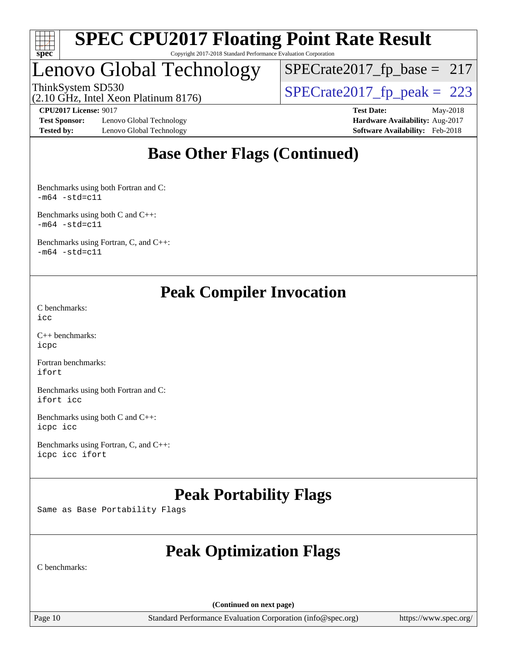

## Lenovo Global Technology

 $SPECTate2017_fp\_base = 217$ 

(2.10 GHz, Intel Xeon Platinum 8176)

ThinkSystem SD530<br>(2.10 GHz, Intel Xeon Platinum 8176)  $\begin{array}{r} | \text{SPECrate2017\_fp\_peak} = 223 \end{array}$ 

**[Test Sponsor:](http://www.spec.org/auto/cpu2017/Docs/result-fields.html#TestSponsor)** Lenovo Global Technology **[Hardware Availability:](http://www.spec.org/auto/cpu2017/Docs/result-fields.html#HardwareAvailability)** Aug-2017 **[Tested by:](http://www.spec.org/auto/cpu2017/Docs/result-fields.html#Testedby)** Lenovo Global Technology **[Software Availability:](http://www.spec.org/auto/cpu2017/Docs/result-fields.html#SoftwareAvailability)** Feb-2018

**[CPU2017 License:](http://www.spec.org/auto/cpu2017/Docs/result-fields.html#CPU2017License)** 9017 **[Test Date:](http://www.spec.org/auto/cpu2017/Docs/result-fields.html#TestDate)** May-2018

### **[Base Other Flags \(Continued\)](http://www.spec.org/auto/cpu2017/Docs/result-fields.html#BaseOtherFlags)**

[Benchmarks using both Fortran and C](http://www.spec.org/auto/cpu2017/Docs/result-fields.html#BenchmarksusingbothFortranandC):  $-m64 - std= c11$  $-m64 - std= c11$ 

[Benchmarks using both C and C++](http://www.spec.org/auto/cpu2017/Docs/result-fields.html#BenchmarksusingbothCandCXX):  $-m64 - std = c11$  $-m64 - std = c11$ 

[Benchmarks using Fortran, C, and C++:](http://www.spec.org/auto/cpu2017/Docs/result-fields.html#BenchmarksusingFortranCandCXX)  $-m64 - std = c11$  $-m64 - std = c11$ 

### **[Peak Compiler Invocation](http://www.spec.org/auto/cpu2017/Docs/result-fields.html#PeakCompilerInvocation)**

[C benchmarks](http://www.spec.org/auto/cpu2017/Docs/result-fields.html#Cbenchmarks): [icc](http://www.spec.org/cpu2017/results/res2018q2/cpu2017-20180529-06565.flags.html#user_CCpeak_intel_icc_18.0_66fc1ee009f7361af1fbd72ca7dcefbb700085f36577c54f309893dd4ec40d12360134090235512931783d35fd58c0460139e722d5067c5574d8eaf2b3e37e92)

[C++ benchmarks:](http://www.spec.org/auto/cpu2017/Docs/result-fields.html#CXXbenchmarks) [icpc](http://www.spec.org/cpu2017/results/res2018q2/cpu2017-20180529-06565.flags.html#user_CXXpeak_intel_icpc_18.0_c510b6838c7f56d33e37e94d029a35b4a7bccf4766a728ee175e80a419847e808290a9b78be685c44ab727ea267ec2f070ec5dc83b407c0218cded6866a35d07)

[Fortran benchmarks](http://www.spec.org/auto/cpu2017/Docs/result-fields.html#Fortranbenchmarks): [ifort](http://www.spec.org/cpu2017/results/res2018q2/cpu2017-20180529-06565.flags.html#user_FCpeak_intel_ifort_18.0_8111460550e3ca792625aed983ce982f94888b8b503583aa7ba2b8303487b4d8a21a13e7191a45c5fd58ff318f48f9492884d4413fa793fd88dd292cad7027ca)

[Benchmarks using both Fortran and C](http://www.spec.org/auto/cpu2017/Docs/result-fields.html#BenchmarksusingbothFortranandC): [ifort](http://www.spec.org/cpu2017/results/res2018q2/cpu2017-20180529-06565.flags.html#user_CC_FCpeak_intel_ifort_18.0_8111460550e3ca792625aed983ce982f94888b8b503583aa7ba2b8303487b4d8a21a13e7191a45c5fd58ff318f48f9492884d4413fa793fd88dd292cad7027ca) [icc](http://www.spec.org/cpu2017/results/res2018q2/cpu2017-20180529-06565.flags.html#user_CC_FCpeak_intel_icc_18.0_66fc1ee009f7361af1fbd72ca7dcefbb700085f36577c54f309893dd4ec40d12360134090235512931783d35fd58c0460139e722d5067c5574d8eaf2b3e37e92)

[Benchmarks using both C and C++](http://www.spec.org/auto/cpu2017/Docs/result-fields.html#BenchmarksusingbothCandCXX): [icpc](http://www.spec.org/cpu2017/results/res2018q2/cpu2017-20180529-06565.flags.html#user_CC_CXXpeak_intel_icpc_18.0_c510b6838c7f56d33e37e94d029a35b4a7bccf4766a728ee175e80a419847e808290a9b78be685c44ab727ea267ec2f070ec5dc83b407c0218cded6866a35d07) [icc](http://www.spec.org/cpu2017/results/res2018q2/cpu2017-20180529-06565.flags.html#user_CC_CXXpeak_intel_icc_18.0_66fc1ee009f7361af1fbd72ca7dcefbb700085f36577c54f309893dd4ec40d12360134090235512931783d35fd58c0460139e722d5067c5574d8eaf2b3e37e92)

[Benchmarks using Fortran, C, and C++:](http://www.spec.org/auto/cpu2017/Docs/result-fields.html#BenchmarksusingFortranCandCXX) [icpc](http://www.spec.org/cpu2017/results/res2018q2/cpu2017-20180529-06565.flags.html#user_CC_CXX_FCpeak_intel_icpc_18.0_c510b6838c7f56d33e37e94d029a35b4a7bccf4766a728ee175e80a419847e808290a9b78be685c44ab727ea267ec2f070ec5dc83b407c0218cded6866a35d07) [icc](http://www.spec.org/cpu2017/results/res2018q2/cpu2017-20180529-06565.flags.html#user_CC_CXX_FCpeak_intel_icc_18.0_66fc1ee009f7361af1fbd72ca7dcefbb700085f36577c54f309893dd4ec40d12360134090235512931783d35fd58c0460139e722d5067c5574d8eaf2b3e37e92) [ifort](http://www.spec.org/cpu2017/results/res2018q2/cpu2017-20180529-06565.flags.html#user_CC_CXX_FCpeak_intel_ifort_18.0_8111460550e3ca792625aed983ce982f94888b8b503583aa7ba2b8303487b4d8a21a13e7191a45c5fd58ff318f48f9492884d4413fa793fd88dd292cad7027ca)

### **[Peak Portability Flags](http://www.spec.org/auto/cpu2017/Docs/result-fields.html#PeakPortabilityFlags)**

Same as Base Portability Flags

### **[Peak Optimization Flags](http://www.spec.org/auto/cpu2017/Docs/result-fields.html#PeakOptimizationFlags)**

[C benchmarks](http://www.spec.org/auto/cpu2017/Docs/result-fields.html#Cbenchmarks):

**(Continued on next page)**

Page 10 Standard Performance Evaluation Corporation [\(info@spec.org\)](mailto:info@spec.org) <https://www.spec.org/>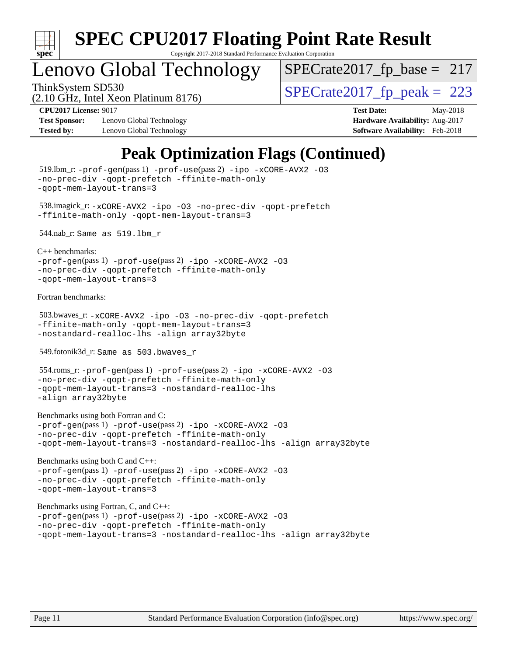

Copyright 2017-2018 Standard Performance Evaluation Corporation

### Lenovo Global Technology

ThinkSystem SD530<br>  $\frac{10.647 \text{ J} \cdot \text{m}^2}{10.647 \text{ J} \cdot \text{m}^2}$  [SPECrate2017\\_fp\\_peak =](http://www.spec.org/auto/cpu2017/Docs/result-fields.html#SPECrate2017fppeak) 223  $SPECTate2017_fp\_base = 217$ 

(2.10 GHz, Intel Xeon Platinum 8176)

**[Test Sponsor:](http://www.spec.org/auto/cpu2017/Docs/result-fields.html#TestSponsor)** Lenovo Global Technology **[Hardware Availability:](http://www.spec.org/auto/cpu2017/Docs/result-fields.html#HardwareAvailability)** Aug-2017 **[Tested by:](http://www.spec.org/auto/cpu2017/Docs/result-fields.html#Testedby)** Lenovo Global Technology **[Software Availability:](http://www.spec.org/auto/cpu2017/Docs/result-fields.html#SoftwareAvailability)** Feb-2018

**[CPU2017 License:](http://www.spec.org/auto/cpu2017/Docs/result-fields.html#CPU2017License)** 9017 **[Test Date:](http://www.spec.org/auto/cpu2017/Docs/result-fields.html#TestDate)** May-2018

### **[Peak Optimization Flags \(Continued\)](http://www.spec.org/auto/cpu2017/Docs/result-fields.html#PeakOptimizationFlags)**

```
 519.lbm_r: -prof-gen(pass 1) -prof-use(pass 2) -ipo -xCORE-AVX2 -O3
-no-prec-div -qopt-prefetch -ffinite-math-only
-qopt-mem-layout-trans=3
 538.imagick_r: -xCORE-AVX2 -ipo -O3 -no-prec-div -qopt-prefetch
-ffinite-math-only -qopt-mem-layout-trans=3
 544.nab_r: Same as 519.lbm_r
C++ benchmarks: 
-prof-gen(pass 1) -prof-use(pass 2) -ipo -xCORE-AVX2 -O3
-no-prec-div -qopt-prefetch -ffinite-math-only
-qopt-mem-layout-trans=3
Fortran benchmarks: 
 503.bwaves_r: -xCORE-AVX2 -ipo -O3 -no-prec-div -qopt-prefetch
-ffinite-math-only -qopt-mem-layout-trans=3
-nostandard-realloc-lhs -align array32byte
 549.fotonik3d_r: Same as 503.bwaves_r
 554.roms_r: -prof-gen(pass 1) -prof-use(pass 2) -ipo -xCORE-AVX2 -O3
-no-prec-div -qopt-prefetch -ffinite-math-only
-qopt-mem-layout-trans=3 -nostandard-realloc-lhs
-align array32byte
Benchmarks using both Fortran and C: 
-prof-gen(pass 1) -prof-use(pass 2) -ipo -xCORE-AVX2 -O3
-no-prec-div -qopt-prefetch -ffinite-math-only
-qopt-mem-layout-trans=3 -nostandard-realloc-lhs -align array32byte
Benchmarks using both C and C++: 
-prof-gen(pass 1) -prof-use(pass 2) -ipo -xCORE-AVX2 -O3
-no-prec-div -qopt-prefetch -ffinite-math-only
-qopt-mem-layout-trans=3
Benchmarks using Fortran, C, and C++: 
-prof-gen(pass 1) -prof-use(pass 2) -ipo -xCORE-AVX2 -O3
-no-prec-div -qopt-prefetch -ffinite-math-only
-qopt-mem-layout-trans=3 -nostandard-realloc-lhs -align array32byte
```